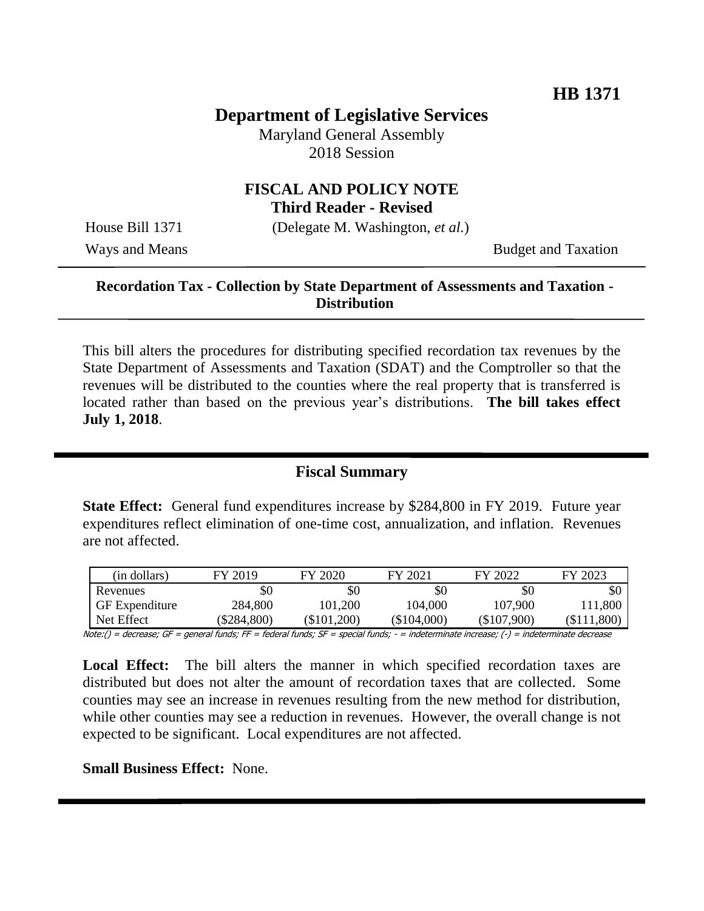# **Department of Legislative Services**

Maryland General Assembly 2018 Session

### **FISCAL AND POLICY NOTE Third Reader - Revised**

House Bill 1371 (Delegate M. Washington, *et al.*)

Ways and Means Budget and Taxation

### **Recordation Tax - Collection by State Department of Assessments and Taxation - Distribution**

This bill alters the procedures for distributing specified recordation tax revenues by the State Department of Assessments and Taxation (SDAT) and the Comptroller so that the revenues will be distributed to the counties where the real property that is transferred is located rather than based on the previous year's distributions. **The bill takes effect July 1, 2018**.

### **Fiscal Summary**

**State Effect:** General fund expenditures increase by \$284,800 in FY 2019. Future year expenditures reflect elimination of one-time cost, annualization, and inflation. Revenues are not affected.

| (in dollars)          | FY 2019   | FY 2020   | FY 2021   | FY 2022     | FY 2023   |
|-----------------------|-----------|-----------|-----------|-------------|-----------|
| Revenues              | \$0       | \$0       | \$0       | \$0         | \$0       |
| <b>GF</b> Expenditure | 284,800   | 101,200   | 104,000   | 107.900     | 11,800    |
| Net Effect            | \$284,800 | \$101,200 | \$104,000 | (\$107.900) | \$111,800 |

Note:() = decrease; GF = general funds; FF = federal funds; SF = special funds; - = indeterminate increase; (-) = indeterminate decrease

Local Effect: The bill alters the manner in which specified recordation taxes are distributed but does not alter the amount of recordation taxes that are collected. Some counties may see an increase in revenues resulting from the new method for distribution, while other counties may see a reduction in revenues. However, the overall change is not expected to be significant. Local expenditures are not affected.

**Small Business Effect:** None.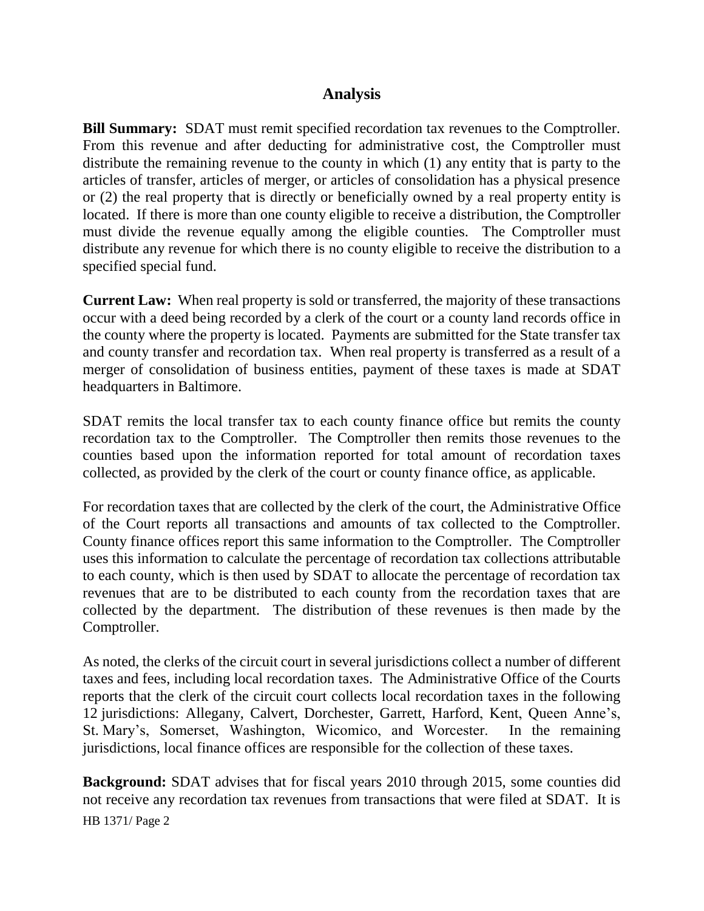### **Analysis**

**Bill Summary:** SDAT must remit specified recordation tax revenues to the Comptroller. From this revenue and after deducting for administrative cost, the Comptroller must distribute the remaining revenue to the county in which (1) any entity that is party to the articles of transfer, articles of merger, or articles of consolidation has a physical presence or (2) the real property that is directly or beneficially owned by a real property entity is located. If there is more than one county eligible to receive a distribution, the Comptroller must divide the revenue equally among the eligible counties. The Comptroller must distribute any revenue for which there is no county eligible to receive the distribution to a specified special fund.

**Current Law:** When real property is sold or transferred, the majority of these transactions occur with a deed being recorded by a clerk of the court or a county land records office in the county where the property is located. Payments are submitted for the State transfer tax and county transfer and recordation tax. When real property is transferred as a result of a merger of consolidation of business entities, payment of these taxes is made at SDAT headquarters in Baltimore.

SDAT remits the local transfer tax to each county finance office but remits the county recordation tax to the Comptroller. The Comptroller then remits those revenues to the counties based upon the information reported for total amount of recordation taxes collected, as provided by the clerk of the court or county finance office, as applicable.

For recordation taxes that are collected by the clerk of the court, the Administrative Office of the Court reports all transactions and amounts of tax collected to the Comptroller. County finance offices report this same information to the Comptroller. The Comptroller uses this information to calculate the percentage of recordation tax collections attributable to each county, which is then used by SDAT to allocate the percentage of recordation tax revenues that are to be distributed to each county from the recordation taxes that are collected by the department. The distribution of these revenues is then made by the Comptroller.

As noted, the clerks of the circuit court in several jurisdictions collect a number of different taxes and fees, including local recordation taxes. The Administrative Office of the Courts reports that the clerk of the circuit court collects local recordation taxes in the following 12 jurisdictions: Allegany, Calvert, Dorchester, Garrett, Harford, Kent, Queen Anne's, St. Mary's, Somerset, Washington, Wicomico, and Worcester. In the remaining jurisdictions, local finance offices are responsible for the collection of these taxes.

HB 1371/ Page 2 **Background:** SDAT advises that for fiscal years 2010 through 2015, some counties did not receive any recordation tax revenues from transactions that were filed at SDAT. It is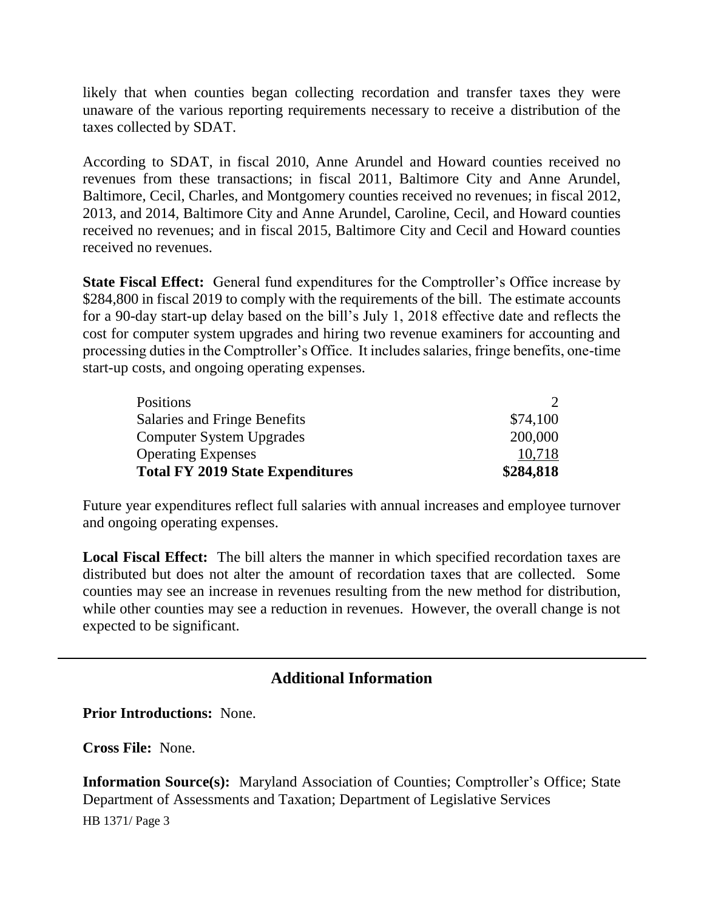likely that when counties began collecting recordation and transfer taxes they were unaware of the various reporting requirements necessary to receive a distribution of the taxes collected by SDAT.

According to SDAT, in fiscal 2010, Anne Arundel and Howard counties received no revenues from these transactions; in fiscal 2011, Baltimore City and Anne Arundel, Baltimore, Cecil, Charles, and Montgomery counties received no revenues; in fiscal 2012, 2013, and 2014, Baltimore City and Anne Arundel, Caroline, Cecil, and Howard counties received no revenues; and in fiscal 2015, Baltimore City and Cecil and Howard counties received no revenues.

**State Fiscal Effect:** General fund expenditures for the Comptroller's Office increase by \$284,800 in fiscal 2019 to comply with the requirements of the bill. The estimate accounts for a 90-day start-up delay based on the bill's July 1, 2018 effective date and reflects the cost for computer system upgrades and hiring two revenue examiners for accounting and processing duties in the Comptroller's Office. It includes salaries, fringe benefits, one-time start-up costs, and ongoing operating expenses.

| <b>Positions</b>                        | $\mathcal{D}$ |
|-----------------------------------------|---------------|
| Salaries and Fringe Benefits            | \$74,100      |
| <b>Computer System Upgrades</b>         | 200,000       |
| <b>Operating Expenses</b>               | 10.718        |
| <b>Total FY 2019 State Expenditures</b> | \$284,818     |

Future year expenditures reflect full salaries with annual increases and employee turnover and ongoing operating expenses.

**Local Fiscal Effect:** The bill alters the manner in which specified recordation taxes are distributed but does not alter the amount of recordation taxes that are collected. Some counties may see an increase in revenues resulting from the new method for distribution, while other counties may see a reduction in revenues. However, the overall change is not expected to be significant.

# **Additional Information**

#### **Prior Introductions:** None.

**Cross File:** None.

**Information Source(s):** Maryland Association of Counties; Comptroller's Office; State Department of Assessments and Taxation; Department of Legislative Services

HB 1371/ Page 3